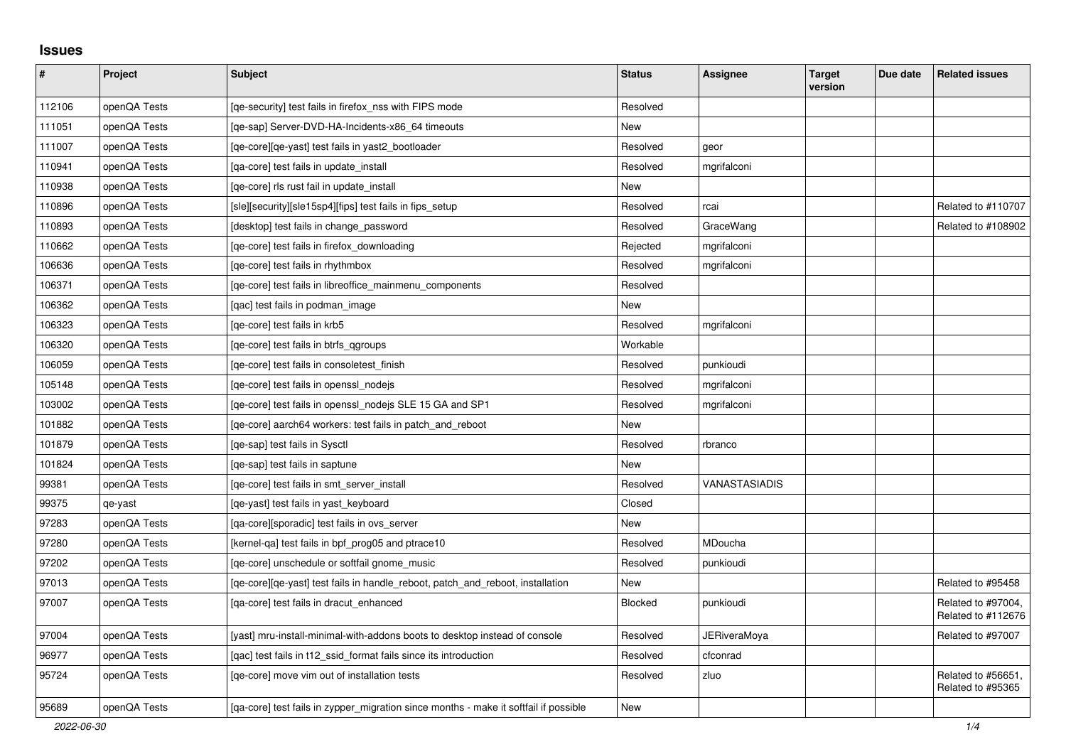## **Issues**

| #      | Project      | <b>Subject</b>                                                                       | <b>Status</b> | <b>Assignee</b> | <b>Target</b><br>version | Due date | <b>Related issues</b>                    |
|--------|--------------|--------------------------------------------------------------------------------------|---------------|-----------------|--------------------------|----------|------------------------------------------|
| 112106 | openQA Tests | [ge-security] test fails in firefox nss with FIPS mode                               | Resolved      |                 |                          |          |                                          |
| 111051 | openQA Tests | [ge-sap] Server-DVD-HA-Incidents-x86 64 timeouts                                     | New           |                 |                          |          |                                          |
| 111007 | openQA Tests | [qe-core][qe-yast] test fails in yast2_bootloader                                    | Resolved      | geor            |                          |          |                                          |
| 110941 | openQA Tests | [qa-core] test fails in update_install                                               | Resolved      | mgrifalconi     |                          |          |                                          |
| 110938 | openQA Tests | [ge-core] rls rust fail in update install                                            | New           |                 |                          |          |                                          |
| 110896 | openQA Tests | [sle][security][sle15sp4][fips] test fails in fips setup                             | Resolved      | rcai            |                          |          | Related to #110707                       |
| 110893 | openQA Tests | [desktop] test fails in change password                                              | Resolved      | GraceWang       |                          |          | Related to #108902                       |
| 110662 | openQA Tests | [qe-core] test fails in firefox_downloading                                          | Rejected      | mgrifalconi     |                          |          |                                          |
| 106636 | openQA Tests | [qe-core] test fails in rhythmbox                                                    | Resolved      | mgrifalconi     |                          |          |                                          |
| 106371 | openQA Tests | [qe-core] test fails in libreoffice_mainmenu_components                              | Resolved      |                 |                          |          |                                          |
| 106362 | openQA Tests | [gac] test fails in podman image                                                     | New           |                 |                          |          |                                          |
| 106323 | openQA Tests | [ge-core] test fails in krb5                                                         | Resolved      | mgrifalconi     |                          |          |                                          |
| 106320 | openQA Tests | [ge-core] test fails in btrfs ggroups                                                | Workable      |                 |                          |          |                                          |
| 106059 | openQA Tests | [qe-core] test fails in consoletest_finish                                           | Resolved      | punkioudi       |                          |          |                                          |
| 105148 | openQA Tests | [qe-core] test fails in openssl_nodejs                                               | Resolved      | mgrifalconi     |                          |          |                                          |
| 103002 | openQA Tests | [qe-core] test fails in openssl_nodejs SLE 15 GA and SP1                             | Resolved      | mgrifalconi     |                          |          |                                          |
| 101882 | openQA Tests | [ge-core] aarch64 workers: test fails in patch and reboot                            | New           |                 |                          |          |                                          |
| 101879 | openQA Tests | [ge-sap] test fails in Sysctl                                                        | Resolved      | rbranco         |                          |          |                                          |
| 101824 | openQA Tests | [ge-sap] test fails in saptune                                                       | New           |                 |                          |          |                                          |
| 99381  | openQA Tests | [qe-core] test fails in smt server install                                           | Resolved      | VANASTASIADIS   |                          |          |                                          |
| 99375  | qe-yast      | [ge-yast] test fails in yast keyboard                                                | Closed        |                 |                          |          |                                          |
| 97283  | openQA Tests | [ga-core][sporadic] test fails in ovs server                                         | New           |                 |                          |          |                                          |
| 97280  | openQA Tests | [kernel-ga] test fails in bpf prog05 and ptrace10                                    | Resolved      | MDoucha         |                          |          |                                          |
| 97202  | openQA Tests | [ge-core] unschedule or softfail gnome music                                         | Resolved      | punkioudi       |                          |          |                                          |
| 97013  | openQA Tests | [qe-core][qe-yast] test fails in handle_reboot, patch_and_reboot, installation       | <b>New</b>    |                 |                          |          | Related to #95458                        |
| 97007  | openQA Tests | [qa-core] test fails in dracut_enhanced                                              | Blocked       | punkioudi       |                          |          | Related to #97004,<br>Related to #112676 |
| 97004  | openQA Tests | [yast] mru-install-minimal-with-addons boots to desktop instead of console           | Resolved      | JERiveraMoya    |                          |          | Related to #97007                        |
| 96977  | openQA Tests | [gac] test fails in t12 ssid format fails since its introduction                     | Resolved      | cfconrad        |                          |          |                                          |
| 95724  | openQA Tests | [qe-core] move vim out of installation tests                                         | Resolved      | zluo            |                          |          | Related to #56651,<br>Related to #95365  |
| 95689  | openQA Tests | [ga-core] test fails in zypper migration since months - make it softfail if possible | New           |                 |                          |          |                                          |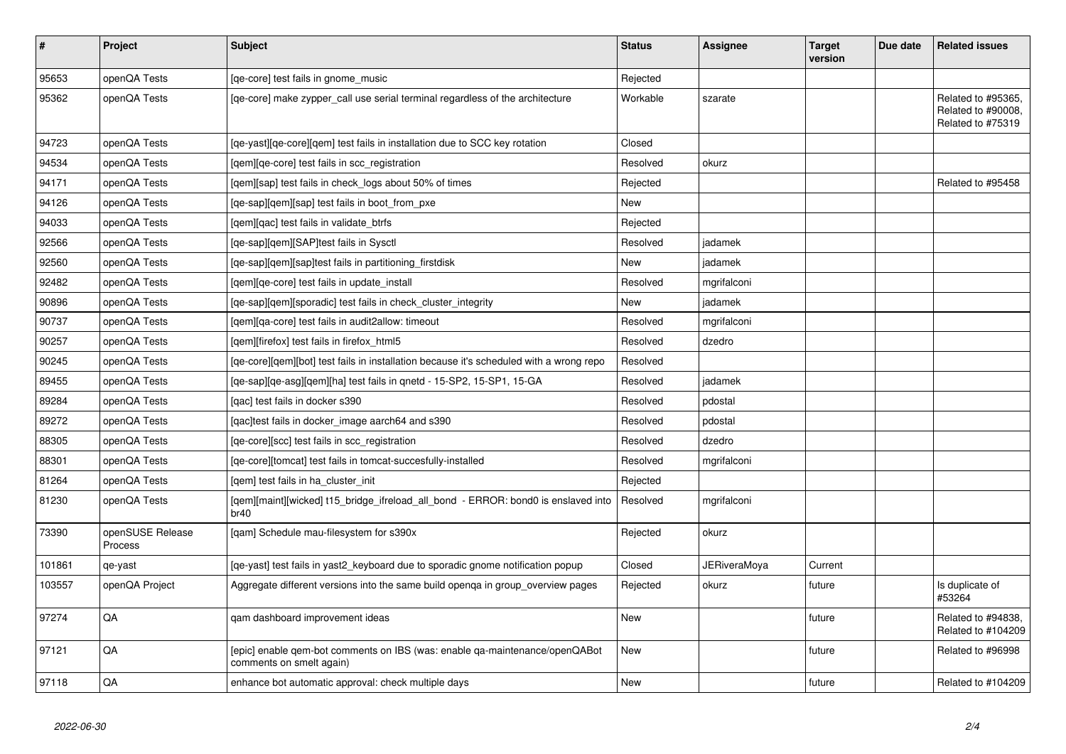| $\vert$ # | <b>Project</b>              | <b>Subject</b>                                                                                          | <b>Status</b> | Assignee            | <b>Target</b><br>version | Due date | <b>Related issues</b>                                         |
|-----------|-----------------------------|---------------------------------------------------------------------------------------------------------|---------------|---------------------|--------------------------|----------|---------------------------------------------------------------|
| 95653     | openQA Tests                | [qe-core] test fails in gnome_music                                                                     | Rejected      |                     |                          |          |                                                               |
| 95362     | openQA Tests                | [ge-core] make zypper call use serial terminal regardless of the architecture                           | Workable      | szarate             |                          |          | Related to #95365,<br>Related to #90008,<br>Related to #75319 |
| 94723     | openQA Tests                | [ge-yast][ge-core][gem] test fails in installation due to SCC key rotation                              | Closed        |                     |                          |          |                                                               |
| 94534     | openQA Tests                | [gem][ge-core] test fails in scc registration                                                           | Resolved      | okurz               |                          |          |                                                               |
| 94171     | openQA Tests                | [qem][sap] test fails in check_logs about 50% of times                                                  | Rejected      |                     |                          |          | Related to #95458                                             |
| 94126     | openQA Tests                | [qe-sap][qem][sap] test fails in boot_from_pxe                                                          | New           |                     |                          |          |                                                               |
| 94033     | openQA Tests                | [gem][gac] test fails in validate btrfs                                                                 | Rejected      |                     |                          |          |                                                               |
| 92566     | openQA Tests                | [qe-sap][qem][SAP]test fails in Sysctl                                                                  | Resolved      | jadamek             |                          |          |                                                               |
| 92560     | openQA Tests                | [qe-sap][qem][sap]test fails in partitioning_firstdisk                                                  | <b>New</b>    | jadamek             |                          |          |                                                               |
| 92482     | openQA Tests                | [gem][ge-core] test fails in update install                                                             | Resolved      | mgrifalconi         |                          |          |                                                               |
| 90896     | openQA Tests                | [qe-sap][qem][sporadic] test fails in check_cluster_integrity                                           | New           | jadamek             |                          |          |                                                               |
| 90737     | openQA Tests                | [gem][ga-core] test fails in audit2allow: timeout                                                       | Resolved      | mgrifalconi         |                          |          |                                                               |
| 90257     | openQA Tests                | [gem][firefox] test fails in firefox html5                                                              | Resolved      | dzedro              |                          |          |                                                               |
| 90245     | openQA Tests                | [qe-core][qem][bot] test fails in installation because it's scheduled with a wrong repo                 | Resolved      |                     |                          |          |                                                               |
| 89455     | openQA Tests                | [qe-sap][qe-asg][qem][ha] test fails in qnetd - 15-SP2, 15-SP1, 15-GA                                   | Resolved      | jadamek             |                          |          |                                                               |
| 89284     | openQA Tests                | [qac] test fails in docker s390                                                                         | Resolved      | pdostal             |                          |          |                                                               |
| 89272     | openQA Tests                | [gac]test fails in docker image aarch64 and s390                                                        | Resolved      | pdostal             |                          |          |                                                               |
| 88305     | openQA Tests                | [qe-core][scc] test fails in scc_registration                                                           | Resolved      | dzedro              |                          |          |                                                               |
| 88301     | openQA Tests                | [qe-core][tomcat] test fails in tomcat-succesfully-installed                                            | Resolved      | mgrifalconi         |                          |          |                                                               |
| 81264     | openQA Tests                | [gem] test fails in ha cluster init                                                                     | Rejected      |                     |                          |          |                                                               |
| 81230     | openQA Tests                | [gem][maint][wicked] t15 bridge ifreload all bond - ERROR: bond0 is enslaved into<br>br40               | Resolved      | mgrifalconi         |                          |          |                                                               |
| 73390     | openSUSE Release<br>Process | [qam] Schedule mau-filesystem for s390x                                                                 | Rejected      | okurz               |                          |          |                                                               |
| 101861    | qe-yast                     | [qe-yast] test fails in yast2_keyboard due to sporadic gnome notification popup                         | Closed        | <b>JERiveraMoya</b> | Current                  |          |                                                               |
| 103557    | openQA Project              | Aggregate different versions into the same build openqa in group_overview pages                         | Rejected      | okurz               | future                   |          | Is duplicate of<br>#53264                                     |
| 97274     | QA                          | gam dashboard improvement ideas                                                                         | New           |                     | future                   |          | Related to #94838,<br>Related to #104209                      |
| 97121     | QA                          | [epic] enable gem-bot comments on IBS (was: enable ga-maintenance/openQABot<br>comments on smelt again) | New           |                     | future                   |          | Related to #96998                                             |
| 97118     | QA                          | enhance bot automatic approval: check multiple days                                                     | <b>New</b>    |                     | future                   |          | Related to #104209                                            |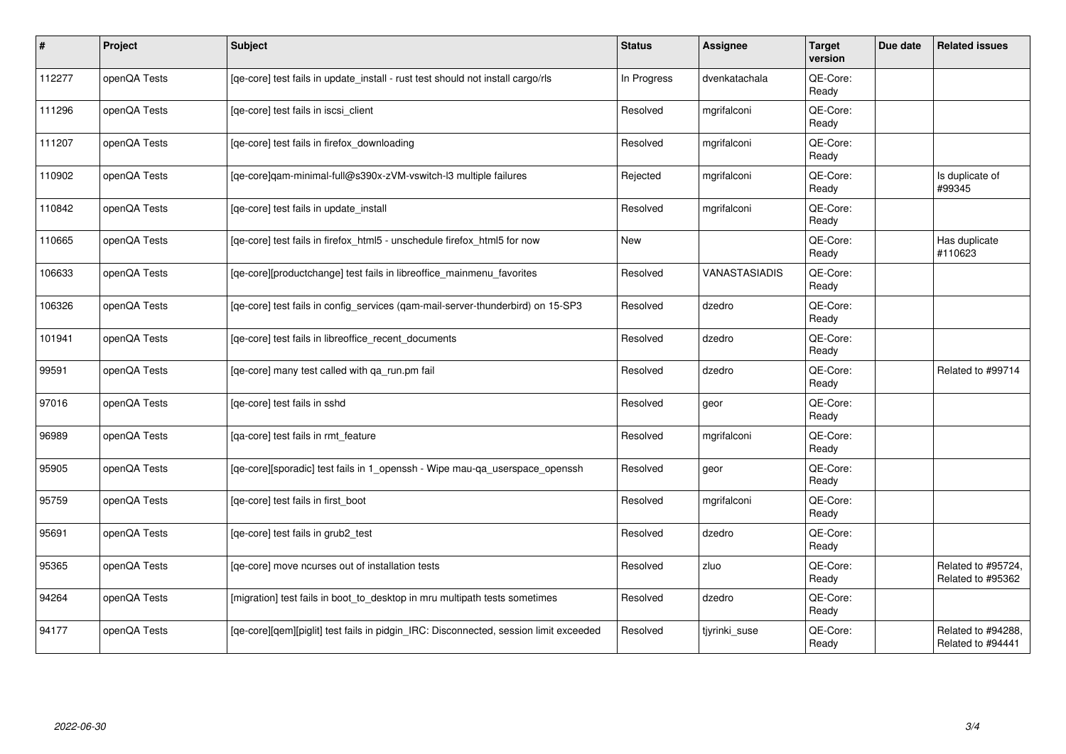| #      | Project      | <b>Subject</b>                                                                        | <b>Status</b> | Assignee      | <b>Target</b><br>version | Due date | <b>Related issues</b>                   |
|--------|--------------|---------------------------------------------------------------------------------------|---------------|---------------|--------------------------|----------|-----------------------------------------|
| 112277 | openQA Tests | [qe-core] test fails in update_install - rust test should not install cargo/rls       | In Progress   | dvenkatachala | QE-Core:<br>Ready        |          |                                         |
| 111296 | openQA Tests | [qe-core] test fails in iscsi_client                                                  | Resolved      | mgrifalconi   | QE-Core:<br>Ready        |          |                                         |
| 111207 | openQA Tests | [ge-core] test fails in firefox downloading                                           | Resolved      | mgrifalconi   | QE-Core:<br>Ready        |          |                                         |
| 110902 | openQA Tests | [ge-core]gam-minimal-full@s390x-zVM-vswitch-l3 multiple failures                      | Rejected      | mgrifalconi   | QE-Core:<br>Ready        |          | Is duplicate of<br>#99345               |
| 110842 | openQA Tests | [qe-core] test fails in update_install                                                | Resolved      | mgrifalconi   | QE-Core:<br>Ready        |          |                                         |
| 110665 | openQA Tests | [qe-core] test fails in firefox_html5 - unschedule firefox_html5 for now              | New           |               | QE-Core:<br>Ready        |          | Has duplicate<br>#110623                |
| 106633 | openQA Tests | [qe-core][productchange] test fails in libreoffice_mainmenu_favorites                 | Resolved      | VANASTASIADIS | QE-Core:<br>Ready        |          |                                         |
| 106326 | openQA Tests | [qe-core] test fails in config_services (qam-mail-server-thunderbird) on 15-SP3       | Resolved      | dzedro        | QE-Core:<br>Ready        |          |                                         |
| 101941 | openQA Tests | [qe-core] test fails in libreoffice_recent_documents                                  | Resolved      | dzedro        | QE-Core:<br>Ready        |          |                                         |
| 99591  | openQA Tests | [qe-core] many test called with qa_run.pm fail                                        | Resolved      | dzedro        | QE-Core:<br>Ready        |          | Related to #99714                       |
| 97016  | openQA Tests | [qe-core] test fails in sshd                                                          | Resolved      | geor          | QE-Core:<br>Ready        |          |                                         |
| 96989  | openQA Tests | [ga-core] test fails in rmt feature                                                   | Resolved      | mgrifalconi   | QE-Core:<br>Ready        |          |                                         |
| 95905  | openQA Tests | [qe-core][sporadic] test fails in 1_openssh - Wipe mau-qa_userspace_openssh           | Resolved      | geor          | QE-Core:<br>Ready        |          |                                         |
| 95759  | openQA Tests | [qe-core] test fails in first_boot                                                    | Resolved      | mgrifalconi   | QE-Core:<br>Ready        |          |                                         |
| 95691  | openQA Tests | [ge-core] test fails in grub2 test                                                    | Resolved      | dzedro        | QE-Core:<br>Ready        |          |                                         |
| 95365  | openQA Tests | [ge-core] move ncurses out of installation tests                                      | Resolved      | zluo          | QE-Core:<br>Ready        |          | Related to #95724,<br>Related to #95362 |
| 94264  | openQA Tests | [migration] test fails in boot_to_desktop in mru multipath tests sometimes            | Resolved      | dzedro        | QE-Core:<br>Ready        |          |                                         |
| 94177  | openQA Tests | [qe-core][qem][piglit] test fails in pidgin_IRC: Disconnected, session limit exceeded | Resolved      | tjyrinki suse | QE-Core:<br>Ready        |          | Related to #94288,<br>Related to #94441 |